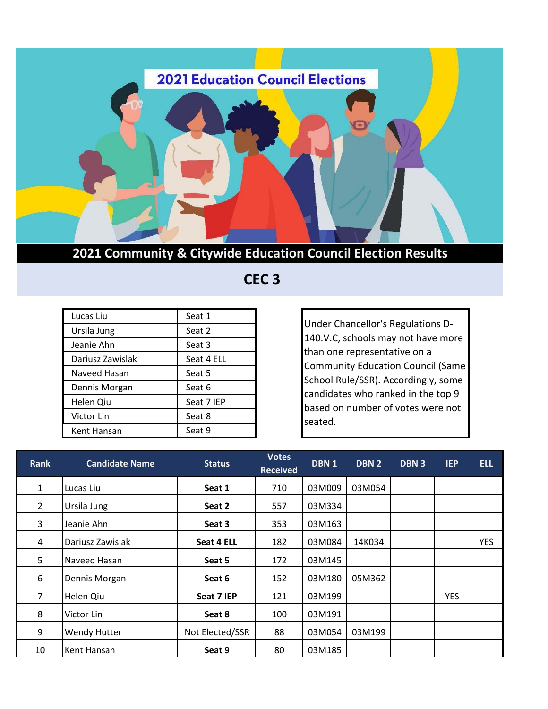

 **CEC 3**

| Lucas Liu        | Seat 1     |
|------------------|------------|
| Ursila Jung      | Seat 2     |
| Jeanie Ahn       | Seat 3     |
| Dariusz Zawislak | Seat 4 ELL |
| Naveed Hasan     | Seat 5     |
| Dennis Morgan    | Seat 6     |
| Helen Qiu        | Seat 7 IEP |
| Victor Lin       | Seat 8     |
| Kent Hansan      | Seat 9     |

Under Chancellor's Regulations D-140.V.C, schools may not have more than one representative on a Community Education Council (Same School Rule/SSR). Accordingly, some candidates who ranked in the top 9 based on number of votes were not seated.

| <b>Rank</b>    | <b>Candidate Name</b> | <b>Status</b>   | <b>Votes</b><br><b>Received</b> | DBN 1  | DBN 2  | DBN <sub>3</sub> | <b>IEP</b> | <b>ELL</b> |
|----------------|-----------------------|-----------------|---------------------------------|--------|--------|------------------|------------|------------|
| 1              | Lucas Liu             | Seat 1          | 710                             | 03M009 | 03M054 |                  |            |            |
| $\overline{2}$ | Ursila Jung           | Seat 2          | 557                             | 03M334 |        |                  |            |            |
| 3              | Jeanie Ahn            | Seat 3          | 353                             | 03M163 |        |                  |            |            |
| 4              | Dariusz Zawislak      | Seat 4 ELL      | 182                             | 03M084 | 14K034 |                  |            | <b>YES</b> |
| 5              | Naveed Hasan          | Seat 5          | 172                             | 03M145 |        |                  |            |            |
| 6              | Dennis Morgan         | Seat 6          | 152                             | 03M180 | 05M362 |                  |            |            |
| 7              | Helen Qiu             | Seat 7 IEP      | 121                             | 03M199 |        |                  | <b>YES</b> |            |
| 8              | Victor Lin            | Seat 8          | 100                             | 03M191 |        |                  |            |            |
| 9              | <b>Wendy Hutter</b>   | Not Elected/SSR | 88                              | 03M054 | 03M199 |                  |            |            |
| 10             | Kent Hansan           | Seat 9          | 80                              | 03M185 |        |                  |            |            |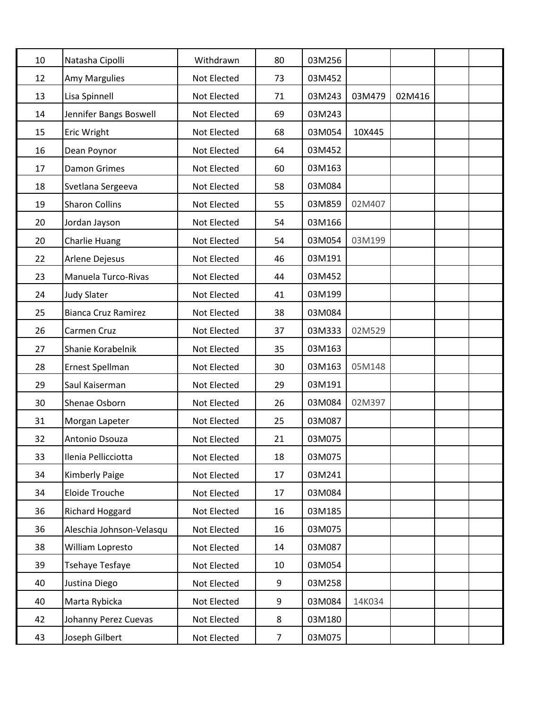| 10 | Natasha Cipolli            | Withdrawn   | 80             | 03M256 |        |        |  |
|----|----------------------------|-------------|----------------|--------|--------|--------|--|
| 12 | Amy Margulies              | Not Elected | 73             | 03M452 |        |        |  |
| 13 | Lisa Spinnell              | Not Elected | 71             | 03M243 | 03M479 | 02M416 |  |
| 14 | Jennifer Bangs Boswell     | Not Elected | 69             | 03M243 |        |        |  |
| 15 | Eric Wright                | Not Elected | 68             | 03M054 | 10X445 |        |  |
| 16 | Dean Poynor                | Not Elected | 64             | 03M452 |        |        |  |
| 17 | <b>Damon Grimes</b>        | Not Elected | 60             | 03M163 |        |        |  |
| 18 | Svetlana Sergeeva          | Not Elected | 58             | 03M084 |        |        |  |
| 19 | <b>Sharon Collins</b>      | Not Elected | 55             | 03M859 | 02M407 |        |  |
| 20 | Jordan Jayson              | Not Elected | 54             | 03M166 |        |        |  |
| 20 | Charlie Huang              | Not Elected | 54             | 03M054 | 03M199 |        |  |
| 22 | Arlene Dejesus             | Not Elected | 46             | 03M191 |        |        |  |
| 23 | Manuela Turco-Rivas        | Not Elected | 44             | 03M452 |        |        |  |
| 24 | <b>Judy Slater</b>         | Not Elected | 41             | 03M199 |        |        |  |
| 25 | <b>Bianca Cruz Ramirez</b> | Not Elected | 38             | 03M084 |        |        |  |
| 26 | Carmen Cruz                | Not Elected | 37             | 03M333 | 02M529 |        |  |
| 27 | Shanie Korabelnik          | Not Elected | 35             | 03M163 |        |        |  |
| 28 | Ernest Spellman            | Not Elected | 30             | 03M163 | 05M148 |        |  |
| 29 | Saul Kaiserman             | Not Elected | 29             | 03M191 |        |        |  |
| 30 | Shenae Osborn              | Not Elected | 26             | 03M084 | 02M397 |        |  |
| 31 | Morgan Lapeter             | Not Elected | 25             | 03M087 |        |        |  |
| 32 | Antonio Dsouza             | Not Elected | 21             | 03M075 |        |        |  |
| 33 | Ilenia Pellicciotta        | Not Elected | 18             | 03M075 |        |        |  |
| 34 | <b>Kimberly Paige</b>      | Not Elected | 17             | 03M241 |        |        |  |
| 34 | Eloide Trouche             | Not Elected | 17             | 03M084 |        |        |  |
| 36 | Richard Hoggard            | Not Elected | 16             | 03M185 |        |        |  |
| 36 | Aleschia Johnson-Velasqu   | Not Elected | 16             | 03M075 |        |        |  |
| 38 | William Lopresto           | Not Elected | 14             | 03M087 |        |        |  |
| 39 | Tsehaye Tesfaye            | Not Elected | 10             | 03M054 |        |        |  |
| 40 | Justina Diego              | Not Elected | 9              | 03M258 |        |        |  |
| 40 | Marta Rybicka              | Not Elected | 9              | 03M084 | 14K034 |        |  |
| 42 | Johanny Perez Cuevas       | Not Elected | 8              | 03M180 |        |        |  |
| 43 | Joseph Gilbert             | Not Elected | $\overline{7}$ | 03M075 |        |        |  |